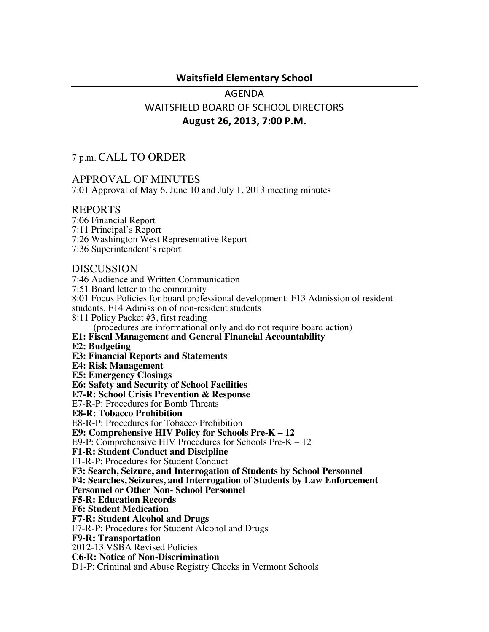## **Waitsfield!Elementary!School**

# AGENDA WAITSFIELD BOARD OF SCHOOL DIRECTORS **August 26, 2013,!7:00!P.M.**

## 7 p.m. CALL TO ORDER

## APPROVAL OF MINUTES

7:01 Approval of May 6, June 10 and July 1, 2013 meeting minutes

#### REPORTS

7:06 Financial Report 7:11 Principal's Report 7:26 Washington West Representative Report 7:36 Superintendent's report

#### DISCUSSION

7:46 Audience and Written Communication 7:51 Board letter to the community 8:01 Focus Policies for board professional development: F13 Admission of resident students, F14 Admission of non-resident students 8:11 Policy Packet #3, first reading (procedures are informational only and do not require board action) **E1: Fiscal Management and General Financial Accountability E2: Budgeting E3: Financial Reports and Statements E4: Risk Management E5: Emergency Closings E6: Safety and Security of School Facilities E7-R: School Crisis Prevention & Response** E7-R-P: Procedures for Bomb Threats **E8-R: Tobacco Prohibition** E8-R-P: Procedures for Tobacco Prohibition **E9: Comprehensive HIV Policy for Schools Pre-K – 12** E9-P: Comprehensive HIV Procedures for Schools Pre-K – 12 **F1-R: Student Conduct and Discipline** F1-R-P: Procedures for Student Conduct **F3: Search, Seizure, and Interrogation of Students by School Personnel F4: Searches, Seizures, and Interrogation of Students by Law Enforcement Personnel or Other Non- School Personnel F5-R: Education Records F6: Student Medication F7-R: Student Alcohol and Drugs** F7-R-P: Procedures for Student Alcohol and Drugs **F9-R: Transportation** 2012-13 VSBA Revised Policies **C6-R: Notice of Non-Discrimination** D1-P: Criminal and Abuse Registry Checks in Vermont Schools